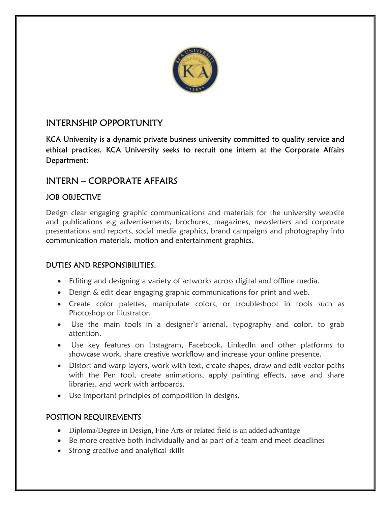

# INTERNSHIP OPPORTUNITY

KCA University is a dynamic private business university committed to quality service and ethical practices. KCA University seeks to recruit one intern at the Corporate Affairs Department;

# INTERN – CORPORATE AFFAIRS

### JOB OBJECTIVE

Design clear engaging graphic communications and materials for the university website and publications e.g advertisements, brochures, magazines, newsletters and corporate presentations and reports, social media graphics, brand campaigns and photography into communication materials, motion and entertainment graphics.

### DUTIES AND RESPONSIBILITIES.

- Editing and designing a variety of artworks across digital and offline media.
- Design & edit clear engaging graphic communications for print and web.
- Create color palettes, manipulate colors, or troubleshoot in tools such as Photoshop or Illustrator.
- Use the main tools in a designer's arsenal, typography and color, to grab attention.
- Use key features on Instagram, Facebook, LinkedIn and other platforms to showcase work, share creative workflow and increase your online presence.
- Distort and warp layers, work with text, create shapes, draw and edit vector paths with the Pen tool, create animations, apply painting effects, save and share libraries, and work with artboards.
- Use important principles of composition in designs.

### POSITION REQUIREMENTS

- Diploma/Degree in Design, Fine Arts or related field is an added advantage
- Be more creative both individually and as part of a team and meet deadlines
- Strong creative and analytical skills